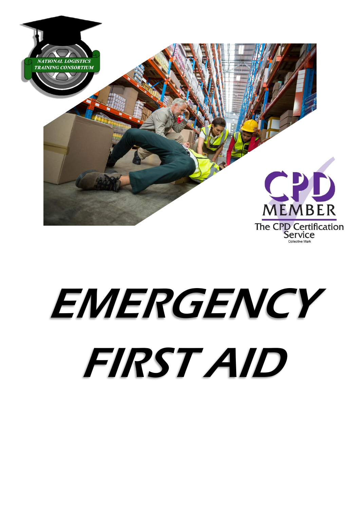

# EMERGENCY FIRST AID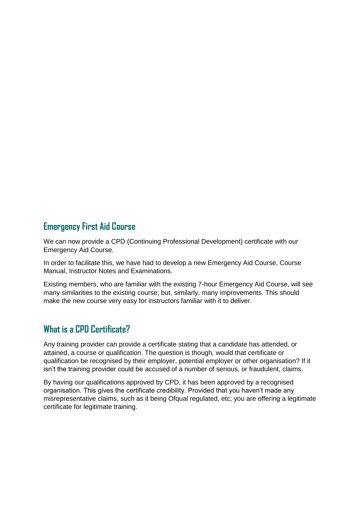### **Emergency First Aid Course**

We can now provide a CPD (Continuing Professional Development) certificate with our Emergency Aid Course.

In order to facilitate this, we have had to develop a new Emergency Aid Course, Course Manual, Instructor Notes and Examinations.

Existing members, who are familiar with the existing 7-hour Emergency Aid Course, will see many similarities to the existing course; but, similarly, many improvements. This should make the new course very easy for instructors familiar with it to deliver.

### **What is a CPD Certificate?**

Any training provider can provide a certificate stating that a candidate has attended, or attained, a course or qualification. The question is though, would that certificate or qualification be recognised by their employer, potential employer or other organisation? If it isn't the training provider could be accused of a number of serious, or fraudulent, claims.

By having our qualifications approved by CPD, it has been approved by a recognised organisation. This gives the certificate credibility. Provided that you haven't made any misrepresentative claims, such as it being Ofqual regulated, etc; you are offering a legitimate certificate for legitimate training.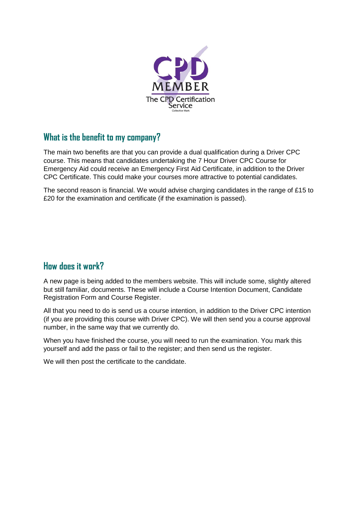

## **What is the benefit to my company?**

The main two benefits are that you can provide a dual qualification during a Driver CPC course. This means that candidates undertaking the 7 Hour Driver CPC Course for Emergency Aid could receive an Emergency First Aid Certificate, in addition to the Driver CPC Certificate. This could make your courses more attractive to potential candidates.

The second reason is financial. We would advise charging candidates in the range of £15 to £20 for the examination and certificate (if the examination is passed).

### **How does it work?**

A new page is being added to the members website. This will include some, slightly altered but still familiar, documents. These will include a Course Intention Document, Candidate Registration Form and Course Register.

All that you need to do is send us a course intention, in addition to the Driver CPC intention (if you are providing this course with Driver CPC). We will then send you a course approval number, in the same way that we currently do.

When you have finished the course, you will need to run the examination. You mark this yourself and add the pass or fail to the register; and then send us the register.

We will then post the certificate to the candidate.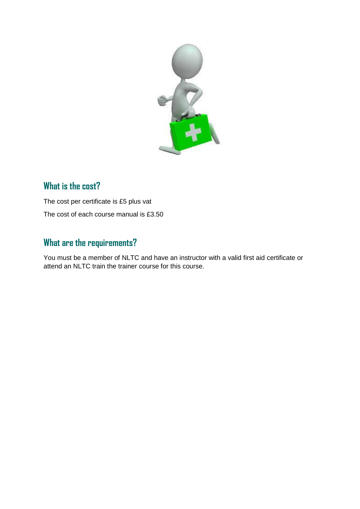

# **What is the cost?**

The cost per certificate is £5 plus vat The cost of each course manual is £3.50

# **What are the requirements?**

You must be a member of NLTC and have an instructor with a valid first aid certificate or attend an NLTC train the trainer course for this course.